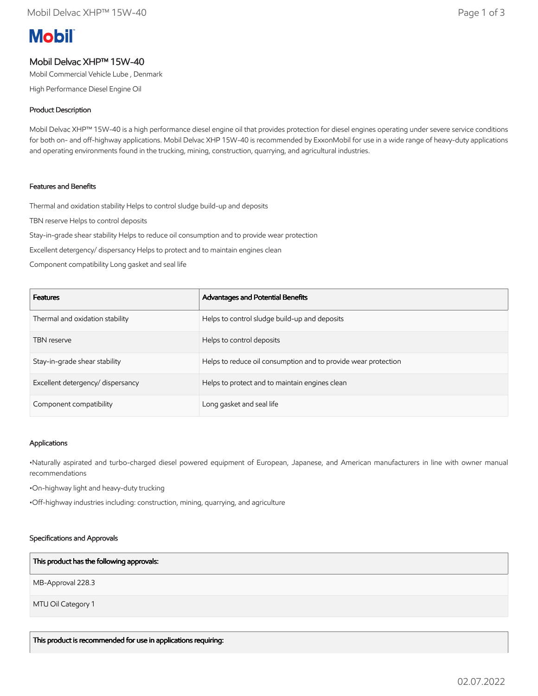# **Mobil**

# Mobil Delvac XHP™ 15W-40

Mobil Commercial Vehicle Lube , Denmark

High Performance Diesel Engine Oil

### Product Description

Mobil Delvac XHP™ 15W-40 is a high performance diesel engine oil that provides protection for diesel engines operating under severe service conditions for both on- and off-highway applications. Mobil Delvac XHP 15W-40 is recommended by ExxonMobil for use in a wide range of heavy-duty applications and operating environments found in the trucking, mining, construction, quarrying, and agricultural industries.

#### Features and Benefits

Thermal and oxidation stability Helps to control sludge build-up and deposits

TBN reserve Helps to control deposits

Stay-in-grade shear stability Helps to reduce oil consumption and to provide wear protection

Excellent detergency/ dispersancy Helps to protect and to maintain engines clean

Component compatibility Long gasket and seal life

| <b>Features</b>                   | Advantages and Potential Benefits                              |
|-----------------------------------|----------------------------------------------------------------|
| Thermal and oxidation stability   | Helps to control sludge build-up and deposits                  |
| <b>TBN</b> reserve                | Helps to control deposits                                      |
| Stay-in-grade shear stability     | Helps to reduce oil consumption and to provide wear protection |
| Excellent detergency/ dispersancy | Helps to protect and to maintain engines clean                 |
| Component compatibility           | Long gasket and seal life                                      |

#### Applications

•Naturally aspirated and turbo-charged diesel powered equipment of European, Japanese, and American manufacturers in line with owner manual recommendations

•On-highway light and heavy-duty trucking

•Off-highway industries including: construction, mining, quarrying, and agriculture

#### Specifications and Approvals

#### This product has the following approvals:

MB-Approval 228.3

MTU Oil Category 1

This product is recommended for use in applications requiring: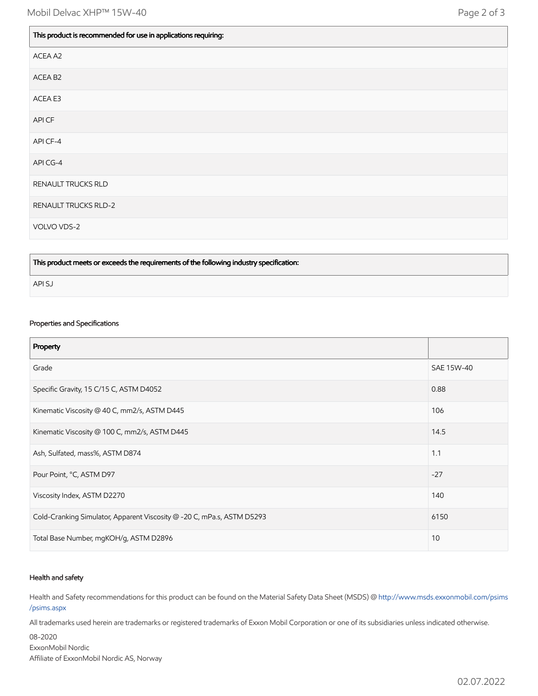$\mathbf{I}$ 

 $\blacksquare$ 

| ACEA A2<br>ACEA B <sub>2</sub><br>ACEA E3<br>API CF<br>API CF-4<br>API CG-4<br>RENAULT TRUCKS RLD<br>RENAULT TRUCKS RLD-2<br>VOLVO VDS-2 | This product is recommended for use in applications requiring: |
|------------------------------------------------------------------------------------------------------------------------------------------|----------------------------------------------------------------|
|                                                                                                                                          |                                                                |
|                                                                                                                                          |                                                                |
|                                                                                                                                          |                                                                |
|                                                                                                                                          |                                                                |
|                                                                                                                                          |                                                                |
|                                                                                                                                          |                                                                |
|                                                                                                                                          |                                                                |
|                                                                                                                                          |                                                                |
|                                                                                                                                          |                                                                |

This product meets or exceeds the requirements of the following industry specification:

API SJ

# Properties and Specifications

| Property                                                               |            |
|------------------------------------------------------------------------|------------|
| Grade                                                                  | SAE 15W-40 |
| Specific Gravity, 15 C/15 C, ASTM D4052                                | 0.88       |
| Kinematic Viscosity @ 40 C, mm2/s, ASTM D445                           | 106        |
| Kinematic Viscosity @ 100 C, mm2/s, ASTM D445                          | 14.5       |
| Ash, Sulfated, mass%, ASTM D874                                        | 1.1        |
| Pour Point, °C, ASTM D97                                               | $-27$      |
| Viscosity Index, ASTM D2270                                            | 140        |
| Cold-Cranking Simulator, Apparent Viscosity @ -20 C, mPa.s, ASTM D5293 | 6150       |
| Total Base Number, mgKOH/g, ASTM D2896                                 | 10         |

#### Health and safety

Health and Safety recommendations for this product can be found on the Material Safety Data Sheet (MSDS) @ [http://www.msds.exxonmobil.com/psims](http://www.msds.exxonmobil.com/psims/psims.aspx) /psims.aspx

All trademarks used herein are trademarks or registered trademarks of Exxon Mobil Corporation or one of its subsidiaries unless indicated otherwise.

08-2020 ExxonMobil Nordic Affiliate of ExxonMobil Nordic AS, Norway